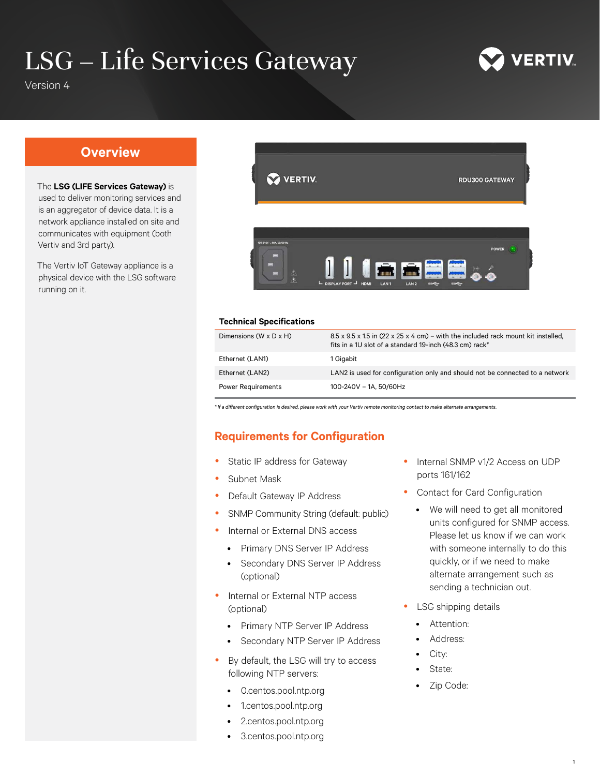# LSG – Life Services Gateway



Version 4

# **Overview**

#### The **LSG (LIFE Services Gateway)** is

used to deliver monitoring services and is an aggregator of device data. It is a network appliance installed on site and communicates with equipment (both Vertiv and 3rd party).

The Vertiv IoT Gateway appliance is a physical device with the LSG software running on it.



#### **Technical Specifications**

| Dimensions (W x D x H) | $8.5 \times 9.5 \times 1.5$ in (22 x 25 x 4 cm) – with the included rack mount kit installed,<br>fits in a 1U slot of a standard 19-inch (48.3 cm) rack* |
|------------------------|----------------------------------------------------------------------------------------------------------------------------------------------------------|
| Ethernet (LAN1)        | 1 Gigabit                                                                                                                                                |
| Ethernet (LAN2)        | LAN2 is used for configuration only and should not be connected to a network                                                                             |
| Power Requirements     | 100-240V - 1A, 50/60Hz                                                                                                                                   |

*\* If a different configuration is desired, please work with your Vertiv remote monitoring contact to make alternate arrangements.*

# **Requirements for Configuration**

- Static IP address for Gateway
- Subnet Mask
- Default Gateway IP Address
- SNMP Community String (default: public)
- Internal or External DNS access
	- Primary DNS Server IP Address
	- Secondary DNS Server IP Address (optional)
- Internal or External NTP access (optional)
	- Primary NTP Server IP Address
	- Secondary NTP Server IP Address
- By default, the LSG will try to access following NTP servers:
	- 0.centos.pool.ntp.org
	- 1.centos.pool.ntp.org
	- 2.centos.pool.ntp.org
	- 3.centos.pool.ntp.org
- Internal SNMP v1/2 Access on UDP ports 161/162
- Contact for Card Configuration
	- We will need to get all monitored units configured for SNMP access. Please let us know if we can work with someone internally to do this quickly, or if we need to make alternate arrangement such as sending a technician out.
- LSG shipping details
	- Attention:
	- Address:
	- City:
	- State:
	- Zip Code: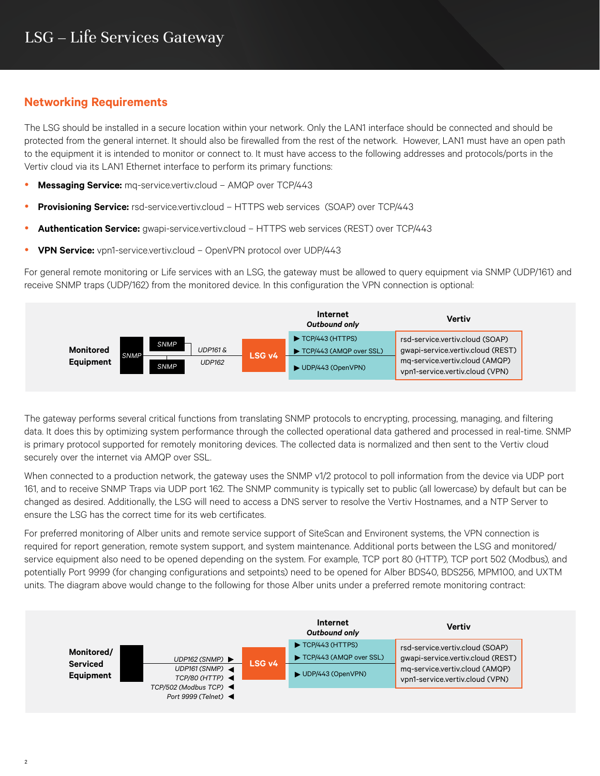# **Networking Requirements**

The LSG should be installed in a secure location within your network. Only the LAN1 interface should be connected and should be protected from the general internet. It should also be firewalled from the rest of the network. However, LAN1 must have an open path to the equipment it is intended to monitor or connect to. It must have access to the following addresses and protocols/ports in the Vertiv cloud via its LAN1 Ethernet interface to perform its primary functions:

- **Messaging Service:** mq-service.vertiv.cloud AMQP over TCP/443
- **Provisioning Service:** rsd-service.vertiv.cloud HTTPS web services (SOAP) over TCP/443
- **Authentication Service:** gwapi-service.vertiv.cloud HTTPS web services (REST) over TCP/443
- **VPN Service:** vpn1-service.vertiv.cloud OpenVPN protocol over UDP/443

For general remote monitoring or Life services with an LSG, the gateway must be allowed to query equipment via SNMP (UDP/161) and receive SNMP traps (UDP/162) from the monitored device. In this configuration the VPN connection is optional:



The gateway performs several critical functions from translating SNMP protocols to encrypting, processing, managing, and filtering data. It does this by optimizing system performance through the collected operational data gathered and processed in real-time. SNMP is primary protocol supported for remotely monitoring devices. The collected data is normalized and then sent to the Vertiv cloud securely over the internet via AMQP over SSL.

When connected to a production network, the gateway uses the SNMP v1/2 protocol to poll information from the device via UDP port 161, and to receive SNMP Traps via UDP port 162. The SNMP community is typically set to public (all lowercase) by default but can be changed as desired. Additionally, the LSG will need to access a DNS server to resolve the Vertiv Hostnames, and a NTP Server to ensure the LSG has the correct time for its web certificates.

For preferred monitoring of Alber units and remote service support of SiteScan and Environent systems, the VPN connection is required for report generation, remote system support, and system maintenance. Additional ports between the LSG and monitored/ service equipment also need to be opened depending on the system. For example, TCP port 80 (HTTP), TCP port 502 (Modbus), and potentially Port 9999 (for changing configurations and setpoints) need to be opened for Alber BDS40, BDS256, MPM100, and UXTM units. The diagram above would change to the following for those Alber units under a preferred remote monitoring contract:

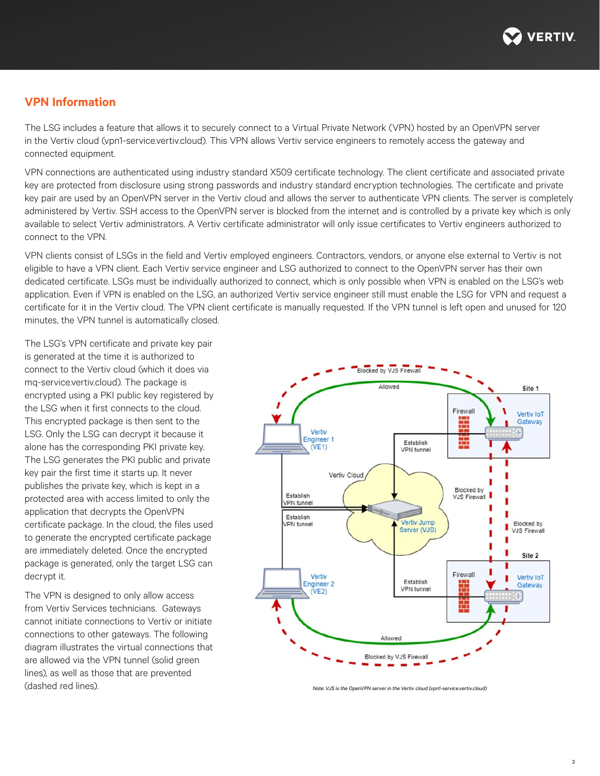

## **VPN Information**

The LSG includes a feature that allows it to securely connect to a Virtual Private Network (VPN) hosted by an OpenVPN server in the Vertiv cloud (vpn1-service.vertiv.cloud). This VPN allows Vertiv service engineers to remotely access the gateway and connected equipment.

VPN connections are authenticated using industry standard X509 certificate technology. The client certificate and associated private key are protected from disclosure using strong passwords and industry standard encryption technologies. The certificate and private key pair are used by an OpenVPN server in the Vertiv cloud and allows the server to authenticate VPN clients. The server is completely administered by Vertiv. SSH access to the OpenVPN server is blocked from the internet and is controlled by a private key which is only available to select Vertiv administrators. A Vertiv certificate administrator will only issue certificates to Vertiv engineers authorized to connect to the VPN.

VPN clients consist of LSGs in the field and Vertiv employed engineers. Contractors, vendors, or anyone else external to Vertiv is not eligible to have a VPN client. Each Vertiv service engineer and LSG authorized to connect to the OpenVPN server has their own dedicated certificate. LSGs must be individually authorized to connect, which is only possible when VPN is enabled on the LSG's web application. Even if VPN is enabled on the LSG, an authorized Vertiv service engineer still must enable the LSG for VPN and request a certificate for it in the Vertiv cloud. The VPN client certificate is manually requested. If the VPN tunnel is left open and unused for 120 minutes, the VPN tunnel is automatically closed.

The LSG's VPN certificate and private key pair is generated at the time it is authorized to connect to the Vertiv cloud (which it does via mq-service.vertiv.cloud). The package is encrypted using a PKI public key registered by the LSG when it first connects to the cloud. This encrypted package is then sent to the LSG. Only the LSG can decrypt it because it alone has the corresponding PKI private key. The LSG generates the PKI public and private key pair the first time it starts up. It never publishes the private key, which is kept in a protected area with access limited to only the application that decrypts the OpenVPN certificate package. In the cloud, the files used to generate the encrypted certificate package are immediately deleted. Once the encrypted package is generated, only the target LSG can decrypt it.

The VPN is designed to only allow access from Vertiv Services technicians. Gateways cannot initiate connections to Vertiv or initiate connections to other gateways. The following diagram illustrates the virtual connections that are allowed via the VPN tunnel (solid green lines), as well as those that are prevented (dashed red lines). *Note: VJS is the OpenVPN server in the Vertiv cloud (vpn1-service.vertiv.cloud)*